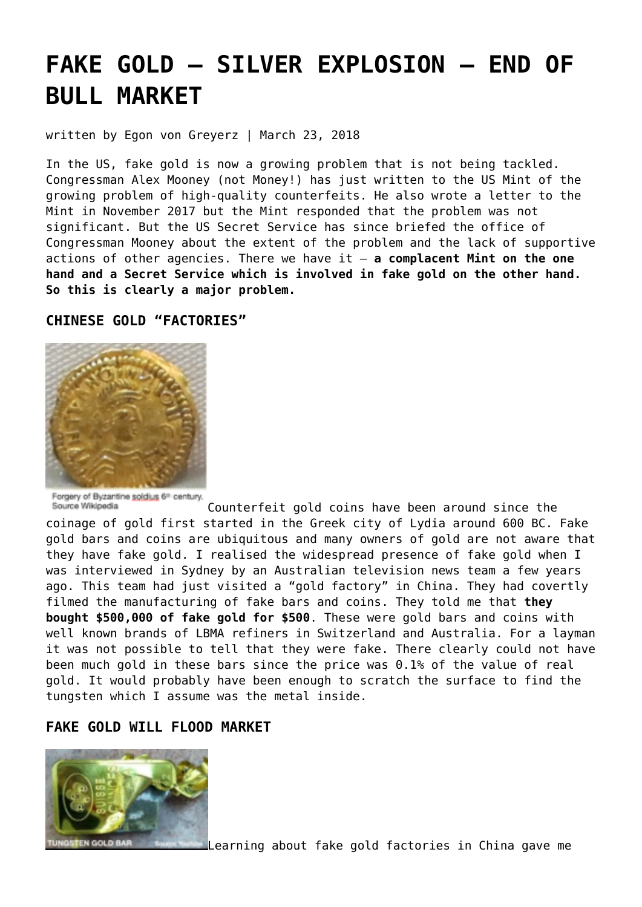# **[FAKE GOLD – SILVER EXPLOSION – END OF](https://goldswitzerland.com/fake-gold-silver-explosion-end-of-bull-market/) [BULL MARKET](https://goldswitzerland.com/fake-gold-silver-explosion-end-of-bull-market/)**

written by Egon von Greyerz | March 23, 2018

In the US, fake gold is now a growing problem that is not being tackled. Congressman Alex Mooney (not Money!) has just written to the US Mint of the growing problem of high-quality counterfeits. He also wrote a letter to the Mint in November 2017 but the Mint responded that the problem was not significant. But the US Secret Service has since briefed the office of Congressman Mooney about the extent of the problem and the lack of supportive actions of other agencies. There we have it – **a complacent Mint on the one hand and a Secret Service which is involved in fake gold on the other hand. So this is clearly a major problem.**

#### **CHINESE GOLD "FACTORIES"**



Forgery of Byzantine soldius 6th century. Source Wikipedia

Counterfeit gold coins have been around since the coinage of gold first started in the Greek city of Lydia around 600 BC. Fake gold bars and coins are ubiquitous and many owners of gold are not aware that they have fake gold. I realised the widespread presence of fake gold when I was interviewed in Sydney by an Australian television news team a few years ago. This team had just visited a "gold factory" in China. They had covertly filmed the manufacturing of fake bars and coins. They told me that **they bought \$500,000 of fake gold for \$500**. These were gold bars and coins with well known brands of LBMA refiners in Switzerland and Australia. For a layman it was not possible to tell that they were fake. There clearly could not have been much gold in these bars since the price was 0.1% of the value of real gold. It would probably have been enough to scratch the surface to find the tungsten which I assume was the metal inside.

## **FAKE GOLD WILL FLOOD MARKET**



Learning about fake gold factories in China gave me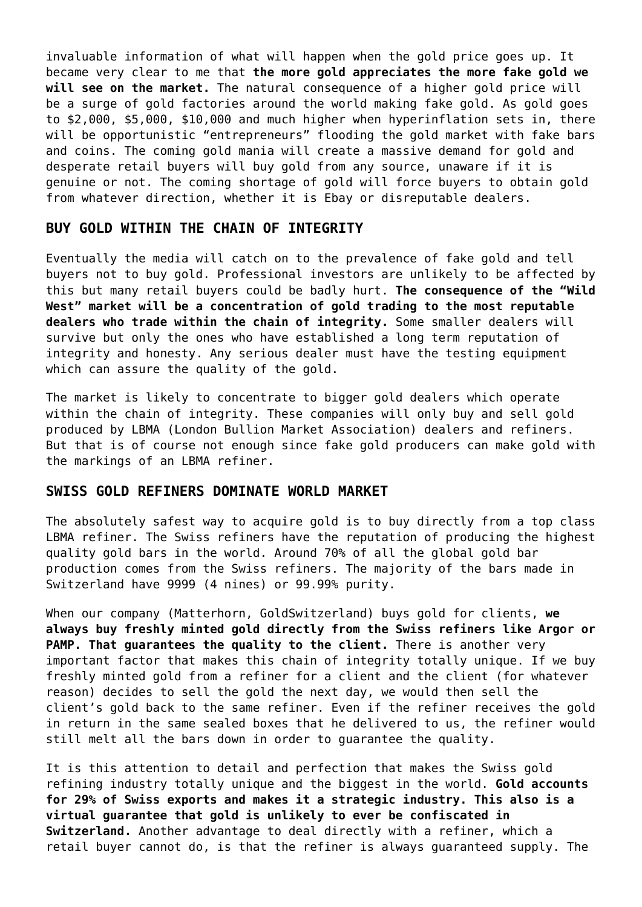invaluable information of what will happen when the gold price goes up. It became very clear to me that **the more gold appreciates the more fake gold we will see on the market.** The natural consequence of a higher gold price will be a surge of gold factories around the world making fake gold. As gold goes to \$2,000, \$5,000, \$10,000 and much higher when hyperinflation sets in, there will be opportunistic "entrepreneurs" flooding the gold market with fake bars and coins. The coming gold mania will create a massive demand for gold and desperate retail buyers will buy gold from any source, unaware if it is genuine or not. The coming shortage of gold will force buyers to obtain gold from whatever direction, whether it is Ebay or disreputable dealers.

#### **BUY GOLD WITHIN THE CHAIN OF INTEGRITY**

Eventually the media will catch on to the prevalence of fake gold and tell buyers not to buy gold. Professional investors are unlikely to be affected by this but many retail buyers could be badly hurt. **The consequence of the "Wild West" market will be a concentration of gold trading to the most reputable dealers who trade within the chain of integrity.** Some smaller dealers will survive but only the ones who have established a long term reputation of integrity and honesty. Any serious dealer must have the testing equipment which can assure the quality of the gold.

The market is likely to concentrate to bigger gold dealers which operate within the chain of integrity. These companies will only buy and sell gold produced by LBMA (London Bullion Market Association) dealers and refiners. But that is of course not enough since fake gold producers can make gold with the markings of an LBMA refiner.

#### **SWISS GOLD REFINERS DOMINATE WORLD MARKET**

The absolutely safest way to acquire gold is to buy directly from a top class LBMA refiner. The Swiss refiners have the reputation of producing the highest quality gold bars in the world. Around 70% of all the global gold bar production comes from the Swiss refiners. The majority of the bars made in Switzerland have 9999 (4 nines) or 99.99% purity.

When our company (Matterhorn, GoldSwitzerland) buys gold for clients, **we always buy freshly minted gold directly from the Swiss refiners like Argor or PAMP. That guarantees the quality to the client.** There is another very important factor that makes this chain of integrity totally unique. If we buy freshly minted gold from a refiner for a client and the client (for whatever reason) decides to sell the gold the next day, we would then sell the client's gold back to the same refiner. Even if the refiner receives the gold in return in the same sealed boxes that he delivered to us, the refiner would still melt all the bars down in order to guarantee the quality.

It is this attention to detail and perfection that makes the Swiss gold refining industry totally unique and the biggest in the world. **Gold accounts for 29% of Swiss exports and makes it a strategic industry. This also is a virtual guarantee that gold is unlikely to ever be confiscated in Switzerland.** Another advantage to deal directly with a refiner, which a retail buyer cannot do, is that the refiner is always guaranteed supply. The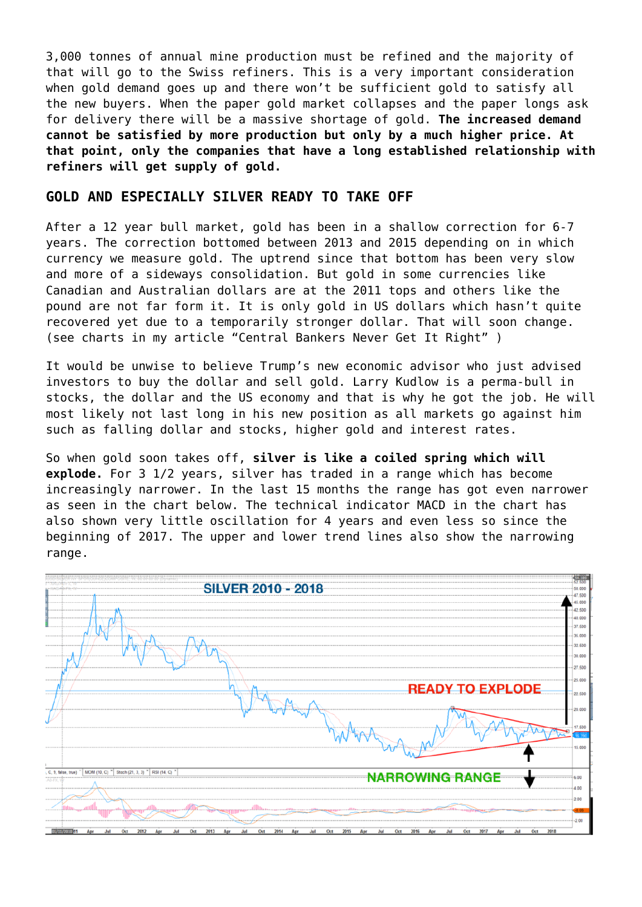3,000 tonnes of annual mine production must be refined and the majority of that will go to the Swiss refiners. This is a very important consideration when gold demand goes up and there won't be sufficient gold to satisfy all the new buyers. When the paper gold market collapses and the paper longs ask for delivery there will be a massive shortage of gold. **The increased demand cannot be satisfied by more production but only by a much higher price. At that point, only the companies that have a long established relationship with refiners will get supply of gold.**

## **GOLD AND ESPECIALLY SILVER READY TO TAKE OFF**

After a 12 year bull market, gold has been in a shallow correction for 6-7 years. The correction bottomed between 2013 and 2015 depending on in which currency we measure gold. The uptrend since that bottom has been very slow and more of a sideways consolidation. But gold in some currencies like Canadian and Australian dollars are at the 2011 tops and others like the pound are not far form it. It is only gold in US dollars which hasn't quite recovered yet due to a temporarily stronger dollar. That will soon change. (see charts in my article ["Central Bankers Never Get It Right](https://goldswitzerland.com/central-bankers-never-get-it-right/)" )

It would be unwise to believe Trump's new economic advisor who just advised investors to buy the dollar and sell gold. Larry Kudlow is a perma-bull in stocks, the dollar and the US economy and that is why he got the job. He will most likely not last long in his new position as all markets go against him such as falling dollar and stocks, higher gold and interest rates.

So when gold soon takes off, **silver is like a coiled spring which will explode.** For 3 1/2 years, silver has traded in a range which has become increasingly narrower. In the last 15 months the range has got even narrower as seen in the chart below. The technical indicator MACD in the chart has also shown very little oscillation for 4 years and even less so since the beginning of 2017. The upper and lower trend lines also show the narrowing range.

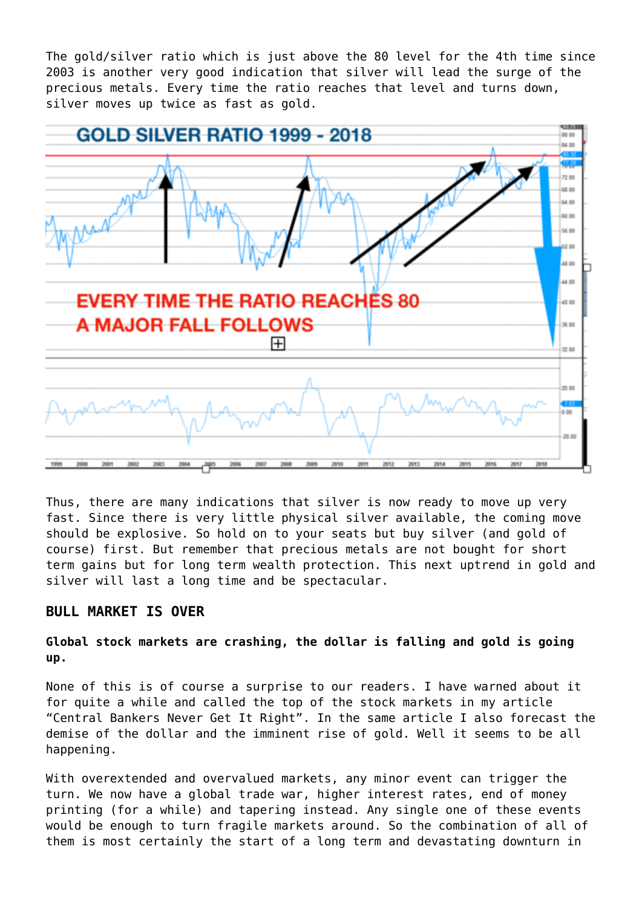The gold/silver ratio which is just above the 80 level for the 4th time since 2003 is another very good indication that silver will lead the surge of the precious metals. Every time the ratio reaches that level and turns down, silver moves up twice as fast as gold.



Thus, there are many indications that silver is now ready to move up very fast. Since there is very little physical silver available, the coming move should be explosive. So hold on to your seats but buy silver (and gold of course) first. But remember that precious metals are not bought for short term gains but for long term wealth protection. This next uptrend in gold and silver will last a long time and be spectacular.

## **BULL MARKET IS OVER**

### **Global stock markets are crashing, the dollar is falling and gold is going up.**

None of this is of course a surprise to our readers. I have warned about it for quite a while and called the top of the stock markets in my article ["Central Bankers Never Get It Right](https://goldswitzerland.com/central-bankers-never-get-it-right/)". In the same article I also forecast the demise of the dollar and the imminent rise of gold. Well it seems to be all happening.

With overextended and overvalued markets, any minor event can trigger the turn. We now have a global trade war, higher interest rates, end of money printing (for a while) and tapering instead. Any single one of these events would be enough to turn fragile markets around. So the combination of all of them is most certainly the start of a long term and devastating downturn in